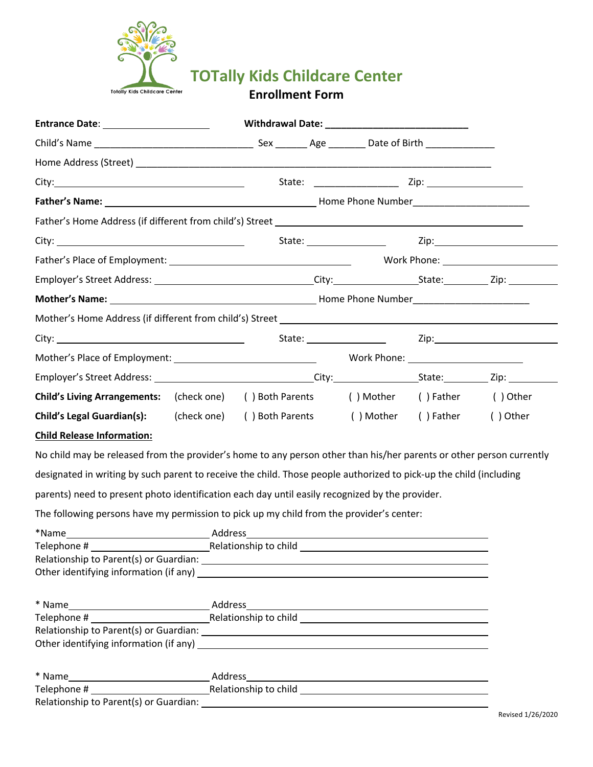

**TOTally Kids Childcare Center**

**Enrollment Form**

| Entrance Date: _______________________                                                                               |             |  |  |  |                                     |          |
|----------------------------------------------------------------------------------------------------------------------|-------------|--|--|--|-------------------------------------|----------|
|                                                                                                                      |             |  |  |  |                                     |          |
|                                                                                                                      |             |  |  |  |                                     |          |
|                                                                                                                      |             |  |  |  |                                     |          |
|                                                                                                                      |             |  |  |  |                                     |          |
|                                                                                                                      |             |  |  |  |                                     |          |
|                                                                                                                      |             |  |  |  |                                     |          |
|                                                                                                                      |             |  |  |  |                                     |          |
|                                                                                                                      |             |  |  |  |                                     |          |
|                                                                                                                      |             |  |  |  |                                     |          |
|                                                                                                                      |             |  |  |  |                                     |          |
|                                                                                                                      |             |  |  |  |                                     |          |
|                                                                                                                      |             |  |  |  |                                     |          |
|                                                                                                                      |             |  |  |  |                                     |          |
| Child's Living Arrangements: (check one) () Both Parents () Mother () Father () Other                                |             |  |  |  |                                     |          |
| <b>Child's Legal Guardian(s):</b>                                                                                    | (check one) |  |  |  | () Both Parents () Mother () Father | () Other |
| <b>Child Release Information:</b>                                                                                    |             |  |  |  |                                     |          |
| No child may be released from the provider's home to any person other than his/her parents or other person currently |             |  |  |  |                                     |          |
| designated in writing by such parent to receive the child. Those people authorized to pick-up the child (including   |             |  |  |  |                                     |          |
| parents) need to present photo identification each day until easily recognized by the provider.                      |             |  |  |  |                                     |          |
| The following persons have my permission to pick up my child from the provider's center:                             |             |  |  |  |                                     |          |
|                                                                                                                      |             |  |  |  |                                     |          |
| <b>Manufacture 19 According to child</b> <u>Containing</u> Telecommunicationship to child<br>Telephone #             |             |  |  |  |                                     |          |
|                                                                                                                      |             |  |  |  |                                     |          |
|                                                                                                                      |             |  |  |  |                                     |          |
|                                                                                                                      |             |  |  |  |                                     |          |
|                                                                                                                      |             |  |  |  |                                     |          |
|                                                                                                                      |             |  |  |  |                                     |          |
|                                                                                                                      |             |  |  |  |                                     |          |
|                                                                                                                      |             |  |  |  |                                     |          |

Relationship to Parent(s) or Guardian: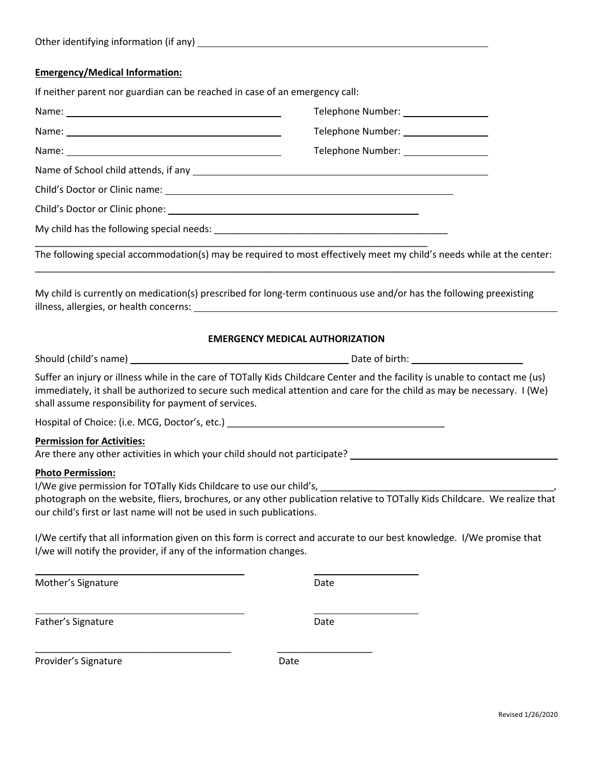|  | Other identifying information (if any) |  |
|--|----------------------------------------|--|
|--|----------------------------------------|--|

### **Emergency/Medical Information:**

| If neither parent nor guardian can be reached in case of an emergency call:                                                                                                                                                   |                                                                                                                                                                                                                                                         |
|-------------------------------------------------------------------------------------------------------------------------------------------------------------------------------------------------------------------------------|---------------------------------------------------------------------------------------------------------------------------------------------------------------------------------------------------------------------------------------------------------|
| Name: Name and the service of the service of the service of the service of the service of the service of the service of the service of the service of the service of the service of the service of the service of the service | Telephone Number: __________________                                                                                                                                                                                                                    |
|                                                                                                                                                                                                                               | Telephone Number: _________________                                                                                                                                                                                                                     |
|                                                                                                                                                                                                                               | Telephone Number: _________________                                                                                                                                                                                                                     |
|                                                                                                                                                                                                                               |                                                                                                                                                                                                                                                         |
|                                                                                                                                                                                                                               |                                                                                                                                                                                                                                                         |
|                                                                                                                                                                                                                               |                                                                                                                                                                                                                                                         |
|                                                                                                                                                                                                                               |                                                                                                                                                                                                                                                         |
|                                                                                                                                                                                                                               | The following special accommodation(s) may be required to most effectively meet my child's needs while at the center:                                                                                                                                   |
|                                                                                                                                                                                                                               | My child is currently on medication(s) prescribed for long-term continuous use and/or has the following preexisting                                                                                                                                     |
|                                                                                                                                                                                                                               | <b>EMERGENCY MEDICAL AUTHORIZATION</b>                                                                                                                                                                                                                  |
|                                                                                                                                                                                                                               |                                                                                                                                                                                                                                                         |
| shall assume responsibility for payment of services.                                                                                                                                                                          | Suffer an injury or illness while in the care of TOTally Kids Childcare Center and the facility is unable to contact me (us)<br>immediately, it shall be authorized to secure such medical attention and care for the child as may be necessary. I (We) |
|                                                                                                                                                                                                                               |                                                                                                                                                                                                                                                         |
| <b>Permission for Activities:</b>                                                                                                                                                                                             | Are there any other activities in which your child should not participate? Letterman and the state of the state of the state of the state of the state of the state of the state of the state of the state of the state of the                          |
| <b>Photo Permission:</b><br>our child's first or last name will not be used in such publications.                                                                                                                             | photograph on the website, fliers, brochures, or any other publication relative to TOTally Kids Childcare. We realize that                                                                                                                              |
| I/we will notify the provider, if any of the information changes.                                                                                                                                                             | I/We certify that all information given on this form is correct and accurate to our best knowledge. I/We promise that                                                                                                                                   |
| Mother's Signature                                                                                                                                                                                                            | Date                                                                                                                                                                                                                                                    |
| Father's Signature                                                                                                                                                                                                            | Date                                                                                                                                                                                                                                                    |

Provider's Signature development of the Date

\_\_\_\_\_\_\_\_\_\_\_\_\_\_\_\_\_\_\_\_\_\_\_\_\_\_\_\_\_\_\_\_\_\_\_\_\_ \_\_\_\_\_\_\_\_\_\_\_\_\_\_\_\_\_\_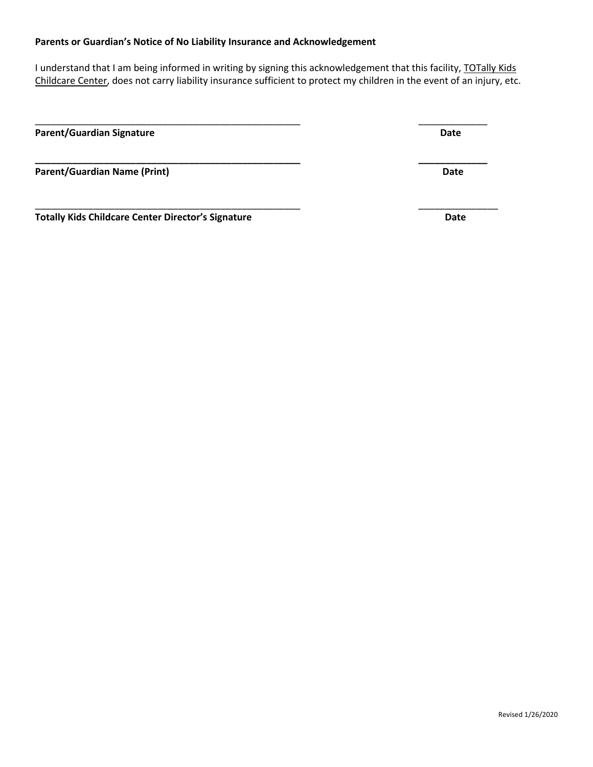#### **Parents or Guardian's Notice of No Liability Insurance and Acknowledgement**

I understand that I am being informed in writing by signing this acknowledgement that this facility, TOTally Kids Childcare Center, does not carry liability insurance sufficient to protect my children in the event of an injury, etc.

\_\_\_\_\_\_\_\_\_\_\_\_\_\_\_\_\_\_\_\_\_\_\_\_\_\_\_\_\_\_\_\_\_\_\_\_\_\_\_\_\_\_\_\_\_\_\_\_\_\_ \_\_\_\_\_\_\_\_\_\_\_\_\_

**Parent/Guardian Signature Date** 

**Parent/Guardian Name (Print)** Date

**Totally Kids Childcare Center Director's Signature Date**

Revised 1/26/2020

\_\_\_\_\_\_\_\_\_\_\_\_\_\_\_\_\_\_\_\_\_\_\_\_\_\_\_\_\_\_\_\_\_\_\_\_\_\_\_\_\_\_\_\_\_\_\_\_\_\_ \_\_\_\_\_\_\_\_\_\_\_\_\_\_\_

**\_\_\_\_\_\_\_\_\_\_\_\_\_\_\_\_\_\_\_\_\_\_\_\_\_\_\_\_\_\_\_\_\_\_\_\_\_\_\_\_\_\_\_\_\_\_\_\_\_\_ \_\_\_\_\_\_\_\_\_\_\_\_\_**